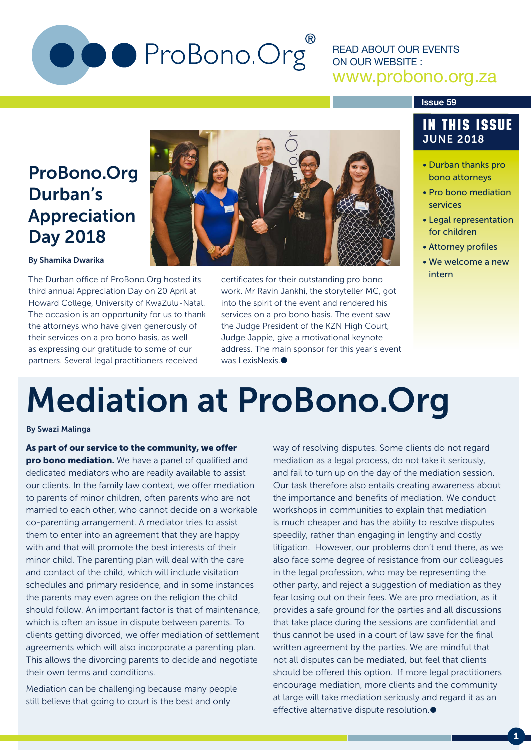# O ProBono.Org

### READ ABOUT OUR EVENTS ON OUR WEBSITE : www.probono.org.za

#### **Issue 59**

# ProBono.Org Durban's Appreciation Day 2018

#### By Shamika Dwarika

The Durban office of ProBono.Org hosted its third annual Appreciation Day on 20 April at Howard College, University of KwaZulu-Natal. The occasion is an opportunity for us to thank the attorneys who have given generously of their services on a pro bono basis, as well as expressing our gratitude to some of our partners. Several legal practitioners received



certificates for their outstanding pro bono work. Mr Ravin Jankhi, the storyteller MC, got into the spirit of the event and rendered his services on a pro bono basis. The event saw the Judge President of the KZN High Court, Judge Jappie, give a motivational keynote address. The main sponsor for this year's event was LexisNexis<sup>®</sup>

### IN THIS ISSUE JUNE 2018

- Durban thanks pro bono attorneys
- Pro bono mediation services
- Legal representation for children
- Attorney profiles
- We welcome a new intern

# Mediation at ProBono.Org

#### By Swazi Malinga

As part of our service to the community, we offer pro bono mediation. We have a panel of qualified and dedicated mediators who are readily available to assist our clients. In the family law context, we offer mediation to parents of minor children, often parents who are not married to each other, who cannot decide on a workable co-parenting arrangement. A mediator tries to assist them to enter into an agreement that they are happy with and that will promote the best interests of their minor child. The parenting plan will deal with the care and contact of the child, which will include visitation schedules and primary residence, and in some instances the parents may even agree on the religion the child should follow. An important factor is that of maintenance, which is often an issue in dispute between parents. To clients getting divorced, we offer mediation of settlement agreements which will also incorporate a parenting plan. This allows the divorcing parents to decide and negotiate their own terms and conditions.

Mediation can be challenging because many people still believe that going to court is the best and only

way of resolving disputes. Some clients do not regard mediation as a legal process, do not take it seriously, and fail to turn up on the day of the mediation session. Our task therefore also entails creating awareness about the importance and benefits of mediation. We conduct workshops in communities to explain that mediation is much cheaper and has the ability to resolve disputes speedily, rather than engaging in lengthy and costly litigation. However, our problems don't end there, as we also face some degree of resistance from our colleagues in the legal profession, who may be representing the other party, and reject a suggestion of mediation as they fear losing out on their fees. We are pro mediation, as it provides a safe ground for the parties and all discussions that take place during the sessions are confidential and thus cannot be used in a court of law save for the final written agreement by the parties. We are mindful that not all disputes can be mediated, but feel that clients should be offered this option. If more legal practitioners encourage mediation, more clients and the community at large will take mediation seriously and regard it as an effective alternative dispute resolution.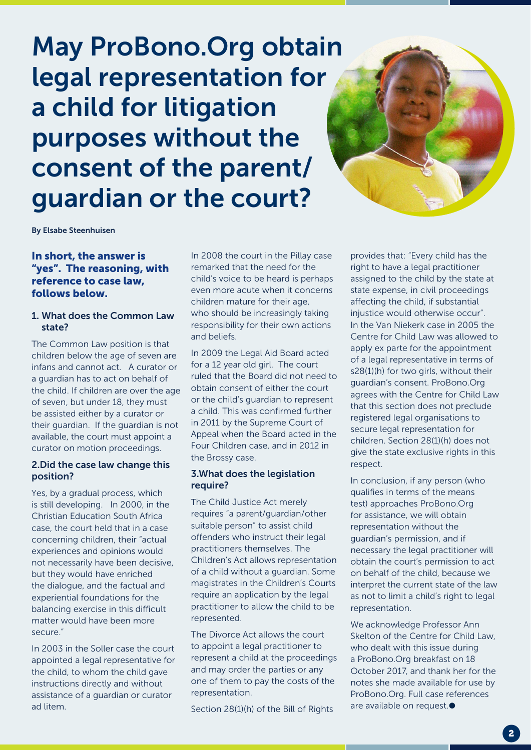# May ProBono.Org obtain legal representation for a child for litigation purposes without the consent of the parent/ guardian or the court?



By Elsabe Steenhuisen

#### In short, the answer is "yes". The reasoning, with reference to case law, follows below.

#### 1. What does the Common Law state?

The Common Law position is that children below the age of seven are infans and cannot act. A curator or a guardian has to act on behalf of the child. If children are over the age of seven, but under 18, they must be assisted either by a curator or their guardian. If the guardian is not available, the court must appoint a curator on motion proceedings.

#### 2.Did the case law change this position?

Yes, by a gradual process, which is still developing. In 2000, in the Christian Education South Africa case, the court held that in a case concerning children, their "actual experiences and opinions would not necessarily have been decisive, but they would have enriched the dialogue, and the factual and experiential foundations for the balancing exercise in this difficult matter would have been more secure."

In 2003 in the Soller case the court appointed a legal representative for the child, to whom the child gave instructions directly and without assistance of a guardian or curator ad litem.

In 2008 the court in the Pillay case remarked that the need for the child's voice to be heard is perhaps even more acute when it concerns children mature for their age, who should be increasingly taking responsibility for their own actions and beliefs.

In 2009 the Legal Aid Board acted for a 12 year old girl. The court ruled that the Board did not need to obtain consent of either the court or the child's guardian to represent a child. This was confirmed further in 2011 by the Supreme Court of Appeal when the Board acted in the Four Children case, and in 2012 in the Brossy case.

#### 3.What does the legislation require?

The Child Justice Act merely requires "a parent/guardian/other suitable person" to assist child offenders who instruct their legal practitioners themselves. The Children's Act allows representation of a child without a guardian. Some magistrates in the Children's Courts require an application by the legal practitioner to allow the child to be represented.

The Divorce Act allows the court to appoint a legal practitioner to represent a child at the proceedings and may order the parties or any one of them to pay the costs of the representation.

Section 28(1)(h) of the Bill of Rights

provides that: "Every child has the right to have a legal practitioner assigned to the child by the state at state expense, in civil proceedings affecting the child, if substantial injustice would otherwise occur". In the Van Niekerk case in 2005 the Centre for Child Law was allowed to apply ex parte for the appointment of a legal representative in terms of s28(1)(h) for two girls, without their guardian's consent. ProBono.Org agrees with the Centre for Child Law that this section does not preclude registered legal organisations to secure legal representation for children. Section 28(1)(h) does not give the state exclusive rights in this respect.

In conclusion, if any person (who qualifies in terms of the means test) approaches ProBono.Org for assistance, we will obtain representation without the guardian's permission, and if necessary the legal practitioner will obtain the court's permission to act on behalf of the child, because we interpret the current state of the law as not to limit a child's right to legal representation.

We acknowledge Professor Ann Skelton of the Centre for Child Law, who dealt with this issue during a ProBono.Org breakfast on 18 October 2017, and thank her for the notes she made available for use by ProBono.Org. Full case references are available on request.